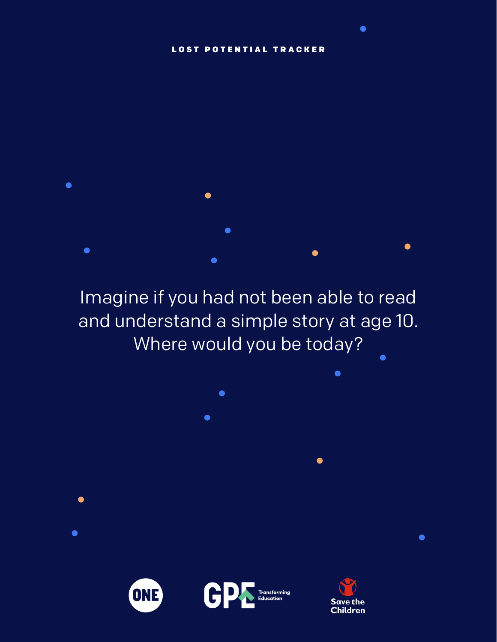## [LOST POTENTIAL TRACKER](one.org/lostpotential)

 $\bullet$ 

 $\bullet$  $\bullet$  $\bullet$  $\bullet$  $\bullet$  $\bullet$ 

Imagine if you had not been able to read and understand a simple story at age 10. Where would you be today?

 $\bullet$ 

 $\bullet$ 

Г

 $\bullet$ 





 $\bullet$ 

 $\bullet$ 

 $\bullet$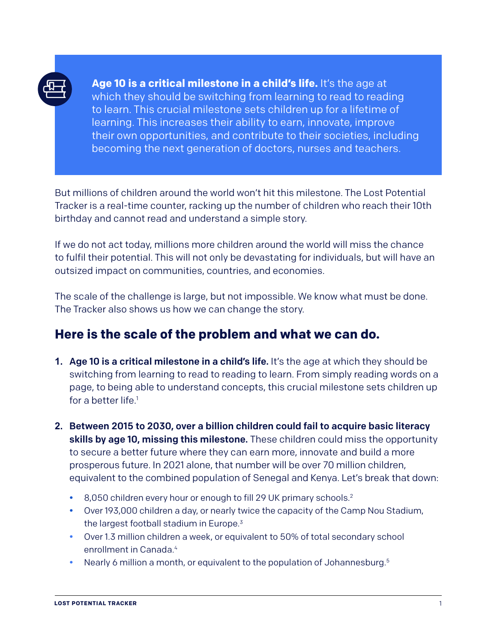

**Age 10 is a critical milestone in a child's life.** It's the age at which they should be switching from learning to read to reading to learn. This crucial milestone sets children up for a lifetime of learning. This increases their ability to earn, innovate, improve their own opportunities, and contribute to their societies, including becoming the next generation of doctors, nurses and teachers.

But millions of children around the world won't hit this milestone. The Lost Potential Tracker is a real-time counter, racking up the number of children who reach their 10th birthday and cannot read and understand a simple story.

If we do not act today, millions more children around the world will miss the chance to fulfil their potential. This will not only be devastating for individuals, but will have an outsized impact on communities, countries, and economies.

The scale of the challenge is large, but not impossible. We know what must be done. The Tracker also shows us how we can change the story.

## **Here is the scale of the problem and what we can do.**

- **1.** Age 10 is a critical milestone in a child's life. It's the age at which they should be switching from learning to read to reading to learn. From simply reading words on a page, to being able to understand concepts, this crucial milestone sets children up for a better life. $1$
- **2.** Between 2015 to 2030, over a billion children could fail to acquire basic literacy skills by age 10, missing this milestone. These children could miss the opportunity to secure a better future where they can earn more, innovate and build a more prosperous future. In 2021 alone, that number will be over 70 million children, equivalent to the combined population of Senegal and Kenya. Let's break that down:
	- **•** 8,050 children every hour or enough to fill 29 UK primary schools.2
	- **•** Over 193,000 children a day, or nearly twice the capacity of the Camp Nou Stadium, the largest football stadium in Europe.<sup>3</sup>
	- **•** Over 1.3 million children a week, or equivalent to 50% of total secondary school enrollment in Canada.<sup>4</sup>
	- Nearly 6 million a month, or equivalent to the population of Johannesburg.<sup>5</sup>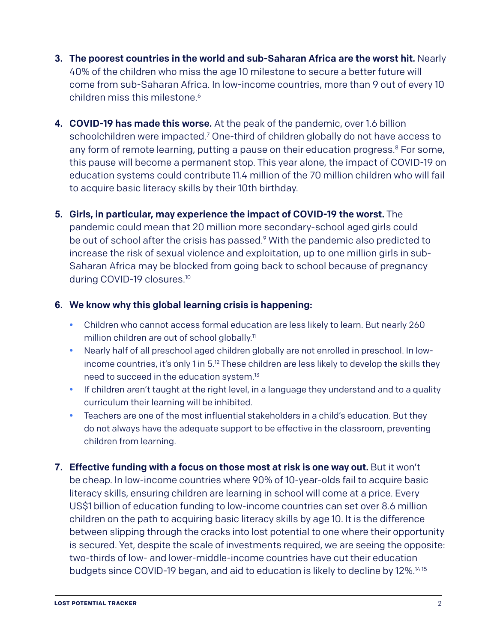- **3.** The poorest countries in the world and sub-Saharan Africa are the worst hit. Nearly 40% of the children who miss the age 10 milestone to secure a better future will come from sub-Saharan Africa. In low-income countries, more than 9 out of every 10 children miss this milestone.<sup>6</sup>
- **4.** COVID-19 has made this worse. At the peak of the pandemic, over 1.6 billion schoolchildren were impacted.<sup>7</sup> One-third of children globally do not have access to any form of remote learning, putting a pause on their education progress.<sup>8</sup> For some, this pause will become a permanent stop. This year alone, the impact of COVID-19 on education systems could contribute 11.4 million of the 70 million children who will fail to acquire basic literacy skills by their 10th birthday.
- **5.** Girls, in particular, may experience the impact of COVID-19 the worst. The pandemic could mean that 20 million more secondary-school aged girls could be out of school after the crisis has passed.<sup>9</sup> With the pandemic also predicted to increase the risk of sexual violence and exploitation, up to one million girls in sub-Saharan Africa may be blocked from going back to school because of pregnancy during COVID-19 closures.10

## **6.** We know why this global learning crisis is happening:

- **•** Children who cannot access formal education are less likely to learn. But nearly 260 million children are out of school globally.<sup>11</sup>
- **•** Nearly half of all preschool aged children globally are not enrolled in preschool. In lowincome countries, it's only 1 in  $5.^{12}$  These children are less likely to develop the skills they need to succeed in the education system.13
- **•** If children aren't taught at the right level, in a language they understand and to a quality curriculum their learning will be inhibited.
- **•** Teachers are one of the most influential stakeholders in a child's education. But they do not always have the adequate support to be effective in the classroom, preventing children from learning.
- **7.** Effective funding with a focus on those most at risk is one way out. But it won't be cheap. In low-income countries where 90% of 10-year-olds fail to acquire basic literacy skills, ensuring children are learning in school will come at a price. Every US\$1 billion of education funding to low-income countries can set over 8.6 million children on the path to acquiring basic literacy skills by age 10. It is the difference between slipping through the cracks into lost potential to one where their opportunity is secured. Yet, despite the scale of investments required, we are seeing the opposite: two-thirds of low- and lower-middle-income countries have cut their education budgets since COVID-19 began, and aid to education is likely to decline by 12%.14 15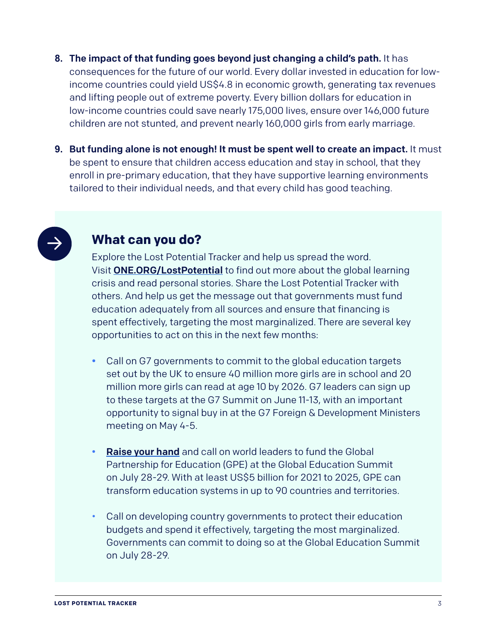- **8.** The impact of that funding goes beyond just changing a child's path. It has consequences for the future of our world. Every dollar invested in education for lowincome countries could yield US\$4.8 in economic growth, generating tax revenues and lifting people out of extreme poverty. Every billion dollars for education in low-income countries could save nearly 175,000 lives, ensure over 146,000 future children are not stunted, and prevent nearly 160,000 girls from early marriage.
- **9.** But funding alone is not enough! It must be spent well to create an impact. It must be spent to ensure that children access education and stay in school, that they enroll in pre-primary education, that they have supportive learning environments tailored to their individual needs, and that every child has good teaching.



## **What can you do?**

Explore the Lost Potential Tracker and help us spread the word. Visit **[ONE.ORG/LostPotential](http://one.org/lostpotential)** to find out more about the global learning crisis and read personal stories. Share the Lost Potential Tracker with others. And help us get the message out that governments must fund education adequately from all sources and ensure that financing is spent effectively, targeting the most marginalized. There are several key opportunities to act on this in the next few months:

- **•** Call on G7 governments to commit to the global education targets set out by the UK to ensure 40 million more girls are in school and 20 million more girls can read at age 10 by 2026. G7 leaders can sign up to these targets at the G7 Summit on June 11-13, with an important opportunity to signal buy in at the G7 Foreign & Development Ministers meeting on May 4-5.
- [Raise your hand](http://www.raiseyourhand.net) and call on world leaders to fund the Global Partnership for Education (GPE) at the Global Education Summit on July 28-29. With at least US\$5 billion for 2021 to 2025, GPE can transform education systems in up to 90 countries and territories.
- Call on developing country governments to protect their education budgets and spend it effectively, targeting the most marginalized. Governments can commit to doing so at the Global Education Summit on July 28-29.